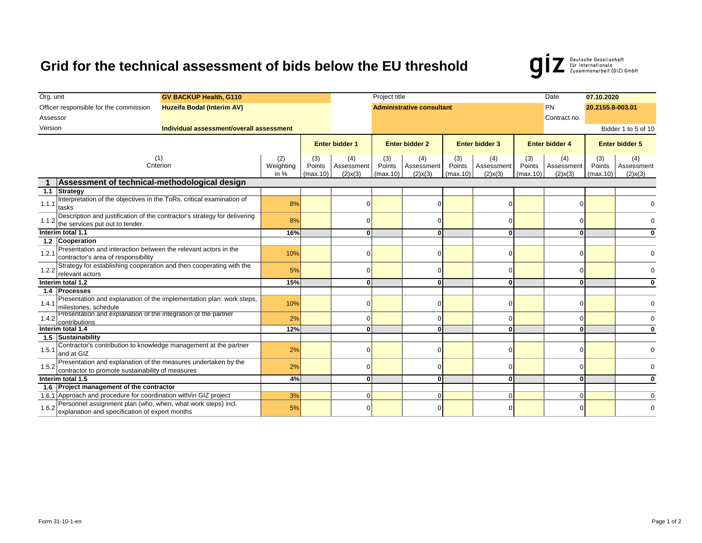## **Grid for the technical assessment of bids below the EU threshold**



| Org. unit<br><b>GV BACKUP Health, G110</b>                                                                            |                                                                                                                |           | Project title         |               |                       |                                  |                       |               |                       |               |                       | 07.10.2020    |          |
|-----------------------------------------------------------------------------------------------------------------------|----------------------------------------------------------------------------------------------------------------|-----------|-----------------------|---------------|-----------------------|----------------------------------|-----------------------|---------------|-----------------------|---------------|-----------------------|---------------|----------|
| Officer responsible for the commission<br>Huzeifa Bodal (Interim AV)                                                  |                                                                                                                |           |                       |               |                       | <b>Administrative consultant</b> |                       | PN            | 20.2155.8-003.01      |               |                       |               |          |
| Assessor                                                                                                              |                                                                                                                |           |                       |               |                       |                                  |                       | Contract no.  |                       |               |                       |               |          |
| Version<br>Individual assessment/overall assessment                                                                   |                                                                                                                |           |                       |               |                       |                                  |                       |               |                       |               | Bidder 1 to 5 of 10   |               |          |
|                                                                                                                       |                                                                                                                |           |                       |               |                       |                                  |                       |               |                       |               |                       |               |          |
|                                                                                                                       |                                                                                                                |           | <b>Enter bidder 1</b> |               | <b>Enter bidder 2</b> |                                  | <b>Enter bidder 3</b> |               | <b>Enter bidder 4</b> |               | <b>Enter bidder 5</b> |               |          |
| (1)<br>Criterion                                                                                                      |                                                                                                                | (2)       | (3)                   | (4)           | (3)                   | (4)                              | (3)                   | (4)           | (3)                   | (4)           | (3)                   | (4)           |          |
|                                                                                                                       |                                                                                                                | Weighting | Points                | Assessment    | Points                | Assessment                       | Points                | Assessment    | Points                | Assessment    | Points                | Assessment    |          |
| Assessment of technical-methodological design                                                                         |                                                                                                                | in $%$    | (max.10)              | $(2)$ x $(3)$ | (max.10)              | $(2)$ x $(3)$                    | (max.10)              | $(2)$ x $(3)$ | (max.10)              | $(2)$ x $(3)$ | (max.10)              | $(2)$ x $(3)$ |          |
| 1.1                                                                                                                   | <b>Strategy</b>                                                                                                |           |                       |               |                       |                                  |                       |               |                       |               |                       |               |          |
|                                                                                                                       | Interpretation of the objectives in the ToRs, critical examination of                                          |           |                       |               |                       |                                  |                       |               |                       |               |                       |               |          |
| 1.1.1                                                                                                                 | tasks                                                                                                          |           | 8%                    |               | U                     |                                  |                       |               | U                     |               |                       |               |          |
| Description and justification of the contractor's strategy for delivering<br>1.1.2<br>the services put out to tender. |                                                                                                                |           | 8%                    |               | U                     |                                  | U                     |               |                       |               |                       |               |          |
|                                                                                                                       |                                                                                                                |           |                       |               |                       |                                  |                       |               |                       |               |                       |               |          |
| Interim total 1.1                                                                                                     |                                                                                                                | 16%       |                       | 0             |                       | 0                                |                       |               |                       | $\bf{0}$      |                       |               |          |
|                                                                                                                       | 1.2 Cooperation                                                                                                |           |                       |               |                       |                                  |                       |               |                       |               |                       |               |          |
| 1.2.1                                                                                                                 | Presentation and interaction between the relevant actors in the<br>contractor's area of responsibility         |           | 10%                   |               | U                     |                                  | O                     |               |                       |               |                       |               | $\Omega$ |
|                                                                                                                       | Strategy for establishing cooperation and then cooperating with the                                            |           |                       |               |                       |                                  |                       |               |                       |               |                       |               |          |
| 1.2.2<br>relevant actors                                                                                              |                                                                                                                | 5%        |                       |               |                       | 0                                |                       |               |                       |               |                       |               |          |
| Interim total 1.2                                                                                                     |                                                                                                                | 15%       |                       | ΩI            |                       | 0                                |                       | $\Omega$      |                       | 0             |                       |               |          |
|                                                                                                                       | 1.4 Processes                                                                                                  |           |                       |               |                       |                                  |                       |               |                       |               |                       |               |          |
| 1.4.1                                                                                                                 | Presentation and explanation of the implementation plan: work steps,<br>milestones, schedule                   |           | 10%                   |               | U                     |                                  | 0                     |               | $\Omega$              |               |                       |               |          |
|                                                                                                                       | Presentation and explanation of the integration of the partner                                                 |           |                       |               |                       |                                  |                       |               |                       |               |                       |               |          |
|                                                                                                                       | 1.4.2<br>contributions                                                                                         |           | 2%                    |               | $\Omega$              |                                  | 0                     |               | $\Omega$              |               | $\Omega$              |               | $\Omega$ |
| Interim total 1.4                                                                                                     |                                                                                                                | 12%       |                       | ΩI            |                       | $\mathbf{0}$                     |                       | O             |                       | $\Omega$      |                       |               |          |
|                                                                                                                       | 1.5 Sustainability                                                                                             |           |                       |               |                       |                                  |                       |               |                       |               |                       |               |          |
| 1.5.1                                                                                                                 | Contractor's contribution to knowledge management at the partner<br>and at GIZ                                 |           | 2%                    |               | n                     |                                  | O                     |               |                       |               |                       |               | $\Omega$ |
|                                                                                                                       | Presentation and explanation of the measures undertaken by the                                                 |           | 2%                    |               |                       |                                  |                       |               |                       |               |                       |               |          |
| 1.5.2                                                                                                                 | contractor to promote sustainability of measures                                                               |           |                       |               | U                     |                                  | O                     |               |                       |               |                       |               |          |
| Interim total 1.5                                                                                                     |                                                                                                                | 4%        |                       | 0             |                       | $\Omega$                         |                       | $\Omega$      |                       | $\bf{0}$      |                       | 0             |          |
|                                                                                                                       | 1.6 Project management of the contractor                                                                       |           |                       |               |                       |                                  |                       |               |                       |               |                       |               |          |
|                                                                                                                       | 1.6.1 Approach and procedure for coordination with/in GIZ project                                              |           | 3%                    |               | $\Omega$              |                                  | 0                     |               | $\Omega$              |               | $\Omega$              |               | $\Omega$ |
| 1.6.2                                                                                                                 | Personnel assignment plan (who, when, what work steps) incl.<br>explanation and specification of expert months |           | 5%                    |               |                       |                                  | U                     |               |                       |               |                       |               |          |